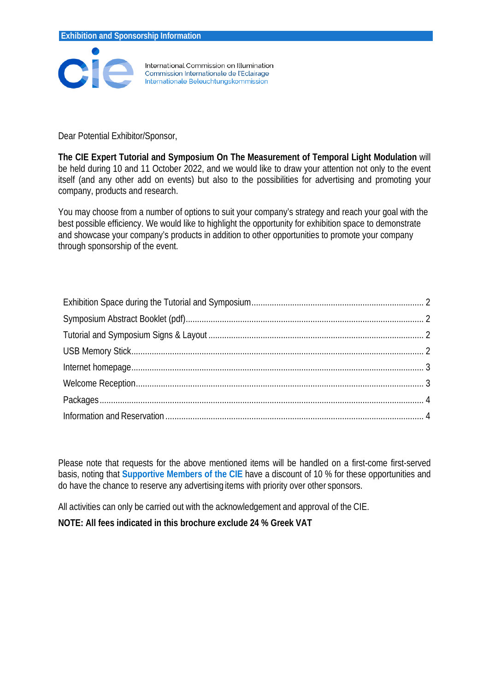

International Commission on Illumination Commission Internationale de l'Eclairage Internationale Beleuchtungskommission

Dear Potential Exhibitor/Sponsor,

**The CIE Expert Tutorial and Symposium On The Measurement of Temporal Light Modulation** will be held during 10 and 11 October 2022, and we would like to draw your attention not only to the event itself (and any other add on events) but also to the possibilities for advertising and promoting your company, products and research.

You may choose from a number of options to suit your company's strategy and reach your goal with the best possible efficiency. We would like to highlight the opportunity for exhibition space to demonstrate and showcase your company's products in addition to other opportunities to promote your company through sponsorship of the event.

Please note that requests for the above mentioned items will be handled on a first-come first-served basis, noting that **Supportive Members of the CIE** have a discount of 10 % for these opportunities and do have the chance to reserve any advertising items with priority over other sponsors.

All activities can only be carried out with the acknowledgement and approval of the CIE.

**NOTE: All fees indicated in this brochure exclude 24 % Greek VAT**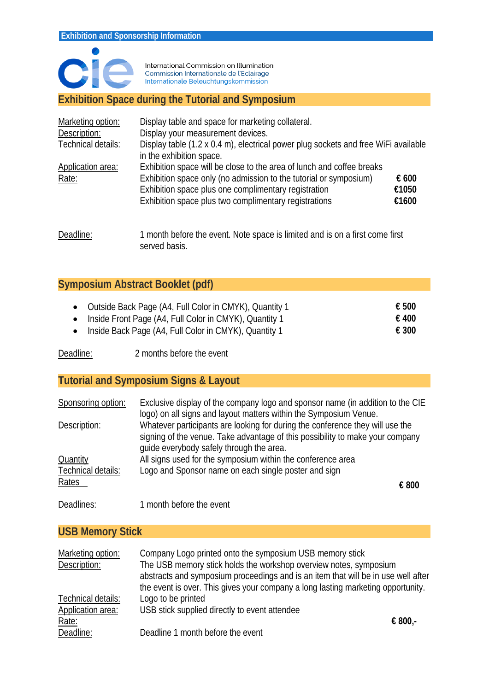

International Commission on Illumination<br>Commission Internationale de l'Eclairage Internationale Beleuchtungskommission

#### <span id="page-1-0"></span>**Exhibition Space during the Tutorial and Symposium**

| Marketing option:  | Display table and space for marketing collateral.                                                              |       |
|--------------------|----------------------------------------------------------------------------------------------------------------|-------|
| Description:       | Display your measurement devices.                                                                              |       |
| Technical details: | Display table (1.2 x 0.4 m), electrical power plug sockets and free WiFi available<br>in the exhibition space. |       |
| Application area:  | Exhibition space will be close to the area of lunch and coffee breaks                                          |       |
| Rate:              | Exhibition space only (no admission to the tutorial or symposium)                                              | € 600 |
|                    | Exhibition space plus one complimentary registration                                                           | €1050 |
|                    | Exhibition space plus two complimentary registrations                                                          | €1600 |
|                    |                                                                                                                |       |
|                    |                                                                                                                |       |

Deadline: 1 month before the event. Note space is limited and is on a first come first served basis.

## <span id="page-1-1"></span>**Symposium Abstract Booklet (pdf)**

| • Outside Back Page (A4, Full Color in CMYK), Quantity 1 | € 500          |
|----------------------------------------------------------|----------------|
| • Inside Front Page (A4, Full Color in CMYK), Quantity 1 | € 400          |
| • Inside Back Page (A4, Full Color in CMYK), Quantity 1  | $\epsilon$ 300 |

<span id="page-1-2"></span>Deadline: 2 months before the event

#### **Tutorial and Symposium Signs & Layout**

| Sponsoring option:          | Exclusive display of the company logo and sponsor name (in addition to the CIE<br>logo) on all signs and layout matters within the Symposium Venue.            |  |
|-----------------------------|----------------------------------------------------------------------------------------------------------------------------------------------------------------|--|
| Description:                | Whatever participants are looking for during the conference they will use the<br>signing of the venue. Take advantage of this possibility to make your company |  |
| Quantity                    | guide everybody safely through the area.<br>All signs used for the symposium within the conference area                                                        |  |
| Technical details:<br>Rates | Logo and Sponsor name on each single poster and sign                                                                                                           |  |
|                             | € 800                                                                                                                                                          |  |
| Deadlines:                  | 1 month before the event                                                                                                                                       |  |

#### <span id="page-1-3"></span>**USB Memory Stick**

| Marketing option:  | Company Logo printed onto the symposium USB memory stick                          |         |
|--------------------|-----------------------------------------------------------------------------------|---------|
| Description:       | The USB memory stick holds the workshop overview notes, symposium                 |         |
|                    | abstracts and symposium proceedings and is an item that will be in use well after |         |
|                    | the event is over. This gives your company a long lasting marketing opportunity.  |         |
| Technical details: | Logo to be printed                                                                |         |
| Application area:  | USB stick supplied directly to event attendee                                     |         |
| Rate:              |                                                                                   | € 800,- |
| Deadline:          | Deadline 1 month before the event                                                 |         |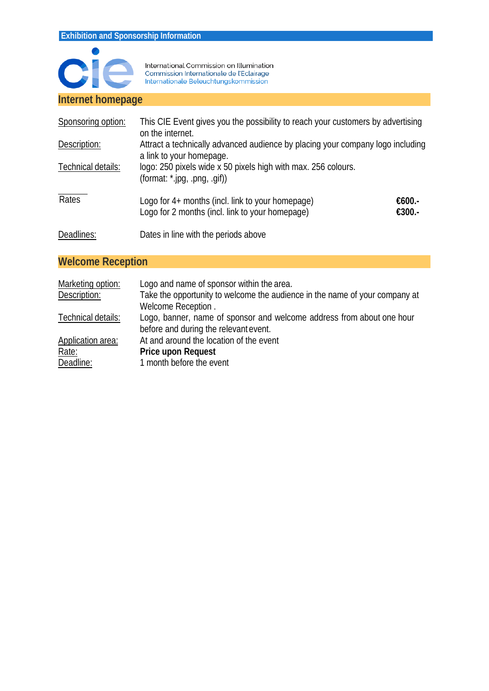

International Commission on Illumination<br>Commission Internationale de l'Eclairage<br>Internationale Beleuchtungskommission

#### <span id="page-2-0"></span>**Internet homepage**

| Sponsoring option: | This CIE Event gives you the possibility to reach your customers by advertising<br>on the internet.        |                  |
|--------------------|------------------------------------------------------------------------------------------------------------|------------------|
| Description:       | Attract a technically advanced audience by placing your company logo including<br>a link to your homepage. |                  |
| Technical details: | logo: 250 pixels wide x 50 pixels high with max. 256 colours.<br>(format: $*$ .jpg, .png, .gif))           |                  |
| Rates              | Logo for 4+ months (incl. link to your homepage)<br>Logo for 2 months (incl. link to your homepage)        | €600.-<br>€300.- |
| Deadlines:         | Dates in line with the periods above                                                                       |                  |

# <span id="page-2-1"></span>**Welcome Reception**

| Marketing option:  | Logo and name of sponsor within the area.                                   |
|--------------------|-----------------------------------------------------------------------------|
| Description:       | Take the opportunity to welcome the audience in the name of your company at |
|                    | Welcome Reception.                                                          |
| Technical details: | Logo, banner, name of sponsor and welcome address from about one hour       |
|                    | before and during the relevant event.                                       |
| Application area:  | At and around the location of the event                                     |
| Rate:              | <b>Price upon Request</b>                                                   |
| Deadline:          | 1 month before the event                                                    |